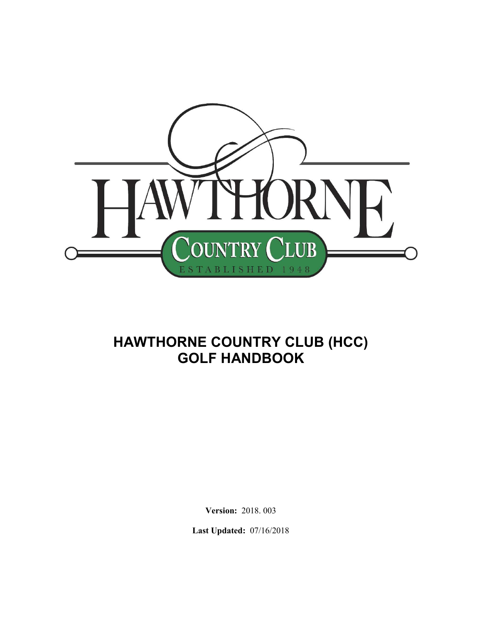

# **HAWTHORNE COUNTRY CLUB (HCC) GOLF HANDBOOK**

**Version:** 2018. 003

**Last Updated:** 07/16/2018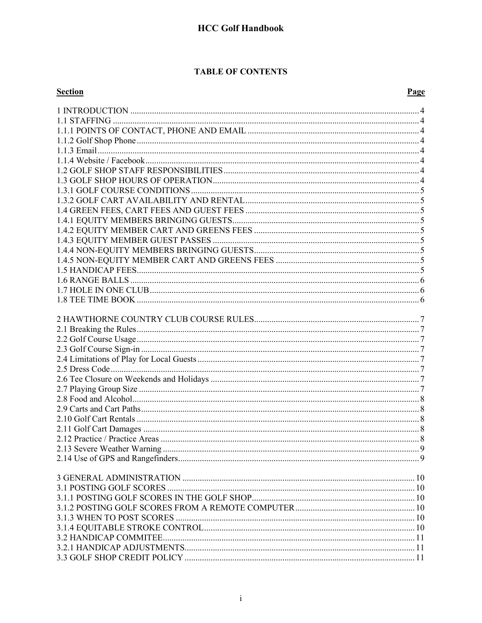#### **TABLE OF CONTENTS**

| <b>Section</b> | Page |
|----------------|------|
|                |      |
|                |      |
|                |      |
|                |      |
|                |      |
|                |      |
|                |      |
|                |      |
|                |      |
|                |      |
|                |      |
|                |      |
|                |      |
|                |      |
|                |      |
|                |      |
|                |      |
|                |      |
|                |      |
|                |      |
|                |      |
|                |      |
|                |      |
|                |      |
|                |      |
|                |      |
|                |      |
|                |      |
|                |      |
|                |      |
|                |      |
|                |      |
|                |      |
|                |      |
|                |      |
|                |      |
|                |      |
|                |      |
|                |      |
|                |      |
|                |      |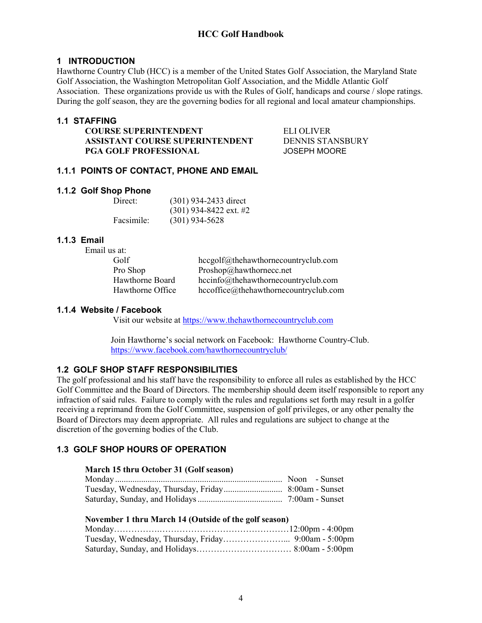#### **1 INTRODUCTION**

Hawthorne Country Club (HCC) is a member of the United States Golf Association, the Maryland State Golf Association, the Washington Metropolitan Golf Association, and the Middle Atlantic Golf Association. These organizations provide us with the Rules of Golf, handicaps and course / slope ratings. During the golf season, they are the governing bodies for all regional and local amateur championships.

#### **1.1 STAFFING**

**COURSE SUPERINTENDENT** ELI OLIVER **ASSISTANT COURSE SUPERINTENDENT** DENNIS STANSBURY **PGA GOLF PROFESSIONAL JOSEPH MOORE** 

#### **1.1.1 POINTS OF CONTACT, PHONE AND EMAIL**

#### **1.1.2 Golf Shop Phone**

| Direct:    | $(301)$ 934-2433 direct  |
|------------|--------------------------|
|            | $(301)$ 934-8422 ext. #2 |
| Facsimile: | $(301)$ 934-5628         |

#### **1.1.3 Email**

| Email us at:     |                                       |
|------------------|---------------------------------------|
| Golf             | hccgolf@thehawthornecountryclub.com   |
| Pro Shop         | Proshop@hawthornecc.net               |
| Hawthorne Board  | hecinfo@thehawthornecountryclub.com   |
| Hawthorne Office | hccoffice@thehawthornecountryclub.com |

#### **1.1.4 Website / Facebook**

Visit our website at https://www.thehawthornecountryclub.com

 Join Hawthorne's social network on Facebook: Hawthorne Country-Club. https://www.facebook.com/hawthornecountryclub/

# **1.2 GOLF SHOP STAFF RESPONSIBILITIES**

The golf professional and his staff have the responsibility to enforce all rules as established by the HCC Golf Committee and the Board of Directors. The membership should deem itself responsible to report any infraction of said rules. Failure to comply with the rules and regulations set forth may result in a golfer receiving a reprimand from the Golf Committee, suspension of golf privileges, or any other penalty the Board of Directors may deem appropriate. All rules and regulations are subject to change at the discretion of the governing bodies of the Club.

# **1.3 GOLF SHOP HOURS OF OPERATION**

#### **March 15 thru October 31 (Golf season)**

#### **November 1 thru March 14 (Outside of the golf season)**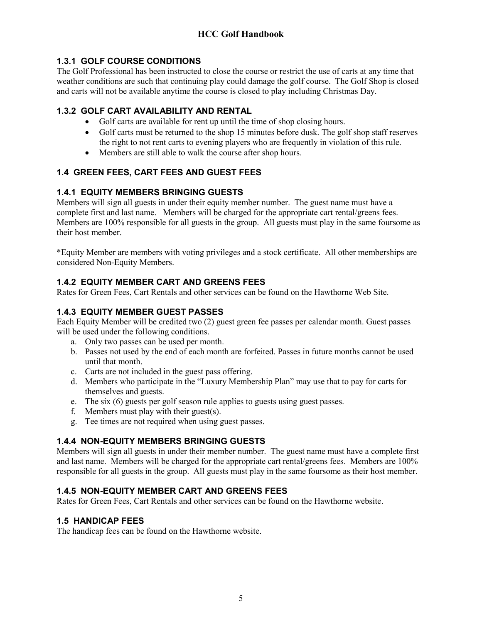# **1.3.1 GOLF COURSE CONDITIONS**

The Golf Professional has been instructed to close the course or restrict the use of carts at any time that weather conditions are such that continuing play could damage the golf course. The Golf Shop is closed and carts will not be available anytime the course is closed to play including Christmas Day.

# **1.3.2 GOLF CART AVAILABILITY AND RENTAL**

- Golf carts are available for rent up until the time of shop closing hours.
- Golf carts must be returned to the shop 15 minutes before dusk. The golf shop staff reserves the right to not rent carts to evening players who are frequently in violation of this rule.
- Members are still able to walk the course after shop hours.

# **1.4 GREEN FEES, CART FEES AND GUEST FEES**

# **1.4.1 EQUITY MEMBERS BRINGING GUESTS**

Members will sign all guests in under their equity member number. The guest name must have a complete first and last name. Members will be charged for the appropriate cart rental/greens fees. Members are 100% responsible for all guests in the group. All guests must play in the same foursome as their host member.

\*Equity Member are members with voting privileges and a stock certificate. All other memberships are considered Non-Equity Members.

# **1.4.2 EQUITY MEMBER CART AND GREENS FEES**

Rates for Green Fees, Cart Rentals and other services can be found on the Hawthorne Web Site.

# **1.4.3 EQUITY MEMBER GUEST PASSES**

Each Equity Member will be credited two (2) guest green fee passes per calendar month. Guest passes will be used under the following conditions.

- a. Only two passes can be used per month.
- b. Passes not used by the end of each month are forfeited. Passes in future months cannot be used until that month.
- c. Carts are not included in the guest pass offering.
- d. Members who participate in the "Luxury Membership Plan" may use that to pay for carts for themselves and guests.
- e. The six (6) guests per golf season rule applies to guests using guest passes.
- f. Members must play with their guest(s).
- g. Tee times are not required when using guest passes.

# **1.4.4 NON-EQUITY MEMBERS BRINGING GUESTS**

Members will sign all guests in under their member number. The guest name must have a complete first and last name. Members will be charged for the appropriate cart rental/greens fees. Members are 100% responsible for all guests in the group. All guests must play in the same foursome as their host member.

# **1.4.5 NON-EQUITY MEMBER CART AND GREENS FEES**

Rates for Green Fees, Cart Rentals and other services can be found on the Hawthorne website.

# **1.5 HANDICAP FEES**

The handicap fees can be found on the Hawthorne website.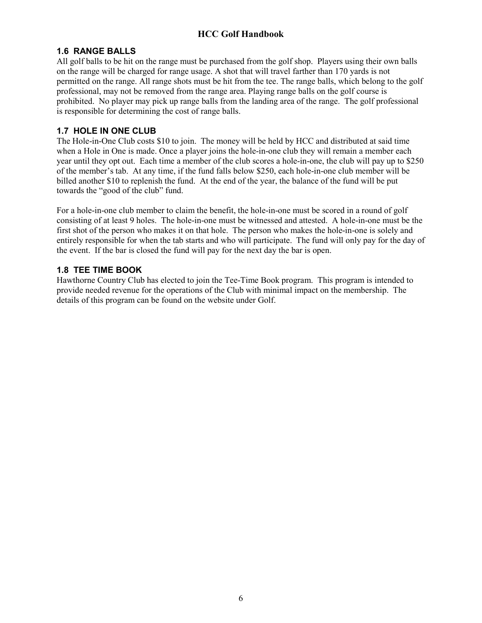# **1.6 RANGE BALLS**

All golf balls to be hit on the range must be purchased from the golf shop. Players using their own balls on the range will be charged for range usage. A shot that will travel farther than 170 yards is not permitted on the range. All range shots must be hit from the tee. The range balls, which belong to the golf professional, may not be removed from the range area. Playing range balls on the golf course is prohibited. No player may pick up range balls from the landing area of the range. The golf professional is responsible for determining the cost of range balls.

# **1.7 HOLE IN ONE CLUB**

The Hole-in-One Club costs \$10 to join. The money will be held by HCC and distributed at said time when a Hole in One is made. Once a player joins the hole-in-one club they will remain a member each year until they opt out. Each time a member of the club scores a hole-in-one, the club will pay up to \$250 of the member's tab. At any time, if the fund falls below \$250, each hole-in-one club member will be billed another \$10 to replenish the fund. At the end of the year, the balance of the fund will be put towards the "good of the club" fund.

For a hole-in-one club member to claim the benefit, the hole-in-one must be scored in a round of golf consisting of at least 9 holes. The hole-in-one must be witnessed and attested. A hole-in-one must be the first shot of the person who makes it on that hole. The person who makes the hole-in-one is solely and entirely responsible for when the tab starts and who will participate. The fund will only pay for the day of the event. If the bar is closed the fund will pay for the next day the bar is open.

# **1.8 TEE TIME BOOK**

Hawthorne Country Club has elected to join the Tee-Time Book program. This program is intended to provide needed revenue for the operations of the Club with minimal impact on the membership. The details of this program can be found on the website under Golf.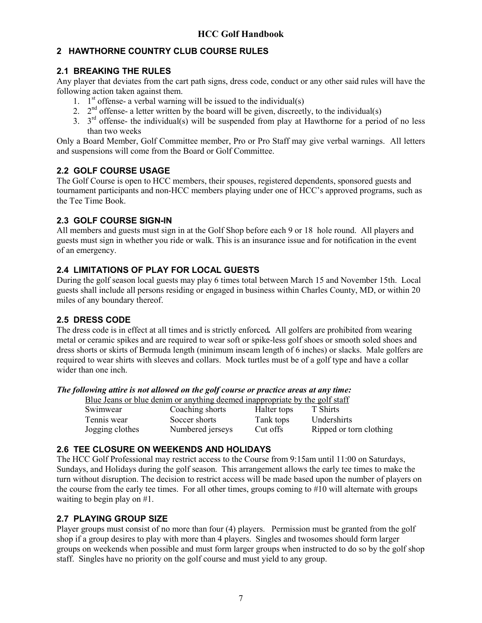# **2 HAWTHORNE COUNTRY CLUB COURSE RULES**

# **2.1 BREAKING THE RULES**

Any player that deviates from the cart path signs, dress code, conduct or any other said rules will have the following action taken against them.

- 1.  $I<sup>st</sup>$  offense- a verbal warning will be issued to the individual(s)
- 2.  $2^{nd}$  offense- a letter written by the board will be given, discreetly, to the individual(s)
- 3.  $3<sup>rd</sup>$  offense- the individual(s) will be suspended from play at Hawthorne for a period of no less than two weeks

Only a Board Member, Golf Committee member, Pro or Pro Staff may give verbal warnings. All letters and suspensions will come from the Board or Golf Committee.

# **2.2 GOLF COURSE USAGE**

The Golf Course is open to HCC members, their spouses, registered dependents, sponsored guests and tournament participants and non-HCC members playing under one of HCC's approved programs, such as the Tee Time Book.

# **2.3 GOLF COURSE SIGN-IN**

All members and guests must sign in at the Golf Shop before each 9 or 18 hole round. All players and guests must sign in whether you ride or walk. This is an insurance issue and for notification in the event of an emergency.

# **2.4 LIMITATIONS OF PLAY FOR LOCAL GUESTS**

During the golf season local guests may play 6 times total between March 15 and November 15th. Local guests shall include all persons residing or engaged in business within Charles County, MD, or within 20 miles of any boundary thereof.

# **2.5 DRESS CODE**

The dress code is in effect at all times and is strictly enforced*.* All golfers are prohibited from wearing metal or ceramic spikes and are required to wear soft or spike-less golf shoes or smooth soled shoes and dress shorts or skirts of Bermuda length (minimum inseam length of 6 inches) or slacks. Male golfers are required to wear shirts with sleeves and collars. Mock turtles must be of a golf type and have a collar wider than one inch.

*The following attire is not allowed on the golf course or practice areas at any time:* 

|                 | Blue Jeans or blue denim or anything deemed inappropriate by the golf staff |             |                         |
|-----------------|-----------------------------------------------------------------------------|-------------|-------------------------|
| Swimwear        | Coaching shorts                                                             | Halter tops | T Shirts                |
| Tennis wear     | Soccer shorts                                                               | Tank tops   | <b>Undershirts</b>      |
| Jogging clothes | Numbered jerseys                                                            | Cut offs    | Ripped or torn clothing |

# **2.6 TEE CLOSURE ON WEEKENDS AND HOLIDAYS**

The HCC Golf Professional may restrict access to the Course from 9:15am until 11:00 on Saturdays, Sundays, and Holidays during the golf season. This arrangement allows the early tee times to make the turn without disruption. The decision to restrict access will be made based upon the number of players on the course from the early tee times. For all other times, groups coming to #10 will alternate with groups waiting to begin play on #1.

# **2.7 PLAYING GROUP SIZE**

Player groups must consist of no more than four (4) players. Permission must be granted from the golf shop if a group desires to play with more than 4 players. Singles and twosomes should form larger groups on weekends when possible and must form larger groups when instructed to do so by the golf shop staff. Singles have no priority on the golf course and must yield to any group.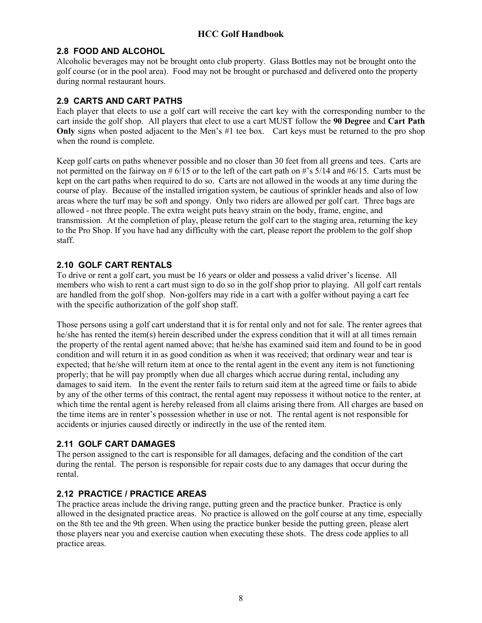#### **2.8 FOOD AND ALCOHOL**

Alcoholic beverages may not be brought onto club property. Glass Bottles may not be brought onto the golf course (or in the pool area). Food may not be brought or purchased and delivered onto the property during normal restaurant hours.

# **2.9 CARTS AND CART PATHS**

Each player that elects to use a golf cart will receive the cart key with the corresponding number to the cart inside the golf shop. All players that elect to use a cart MUST follow the **90 Degree** and **Cart Path Only** signs when posted adjacent to the Men's #1 tee box. Cart keys must be returned to the pro shop when the round is complete.

Keep golf carts on paths whenever possible and no closer than 30 feet from all greens and tees. Carts are not permitted on the fairway on  $\# 6/15$  or to the left of the cart path on  $\#$ 's  $5/14$  and  $\#6/15$ . Carts must be kept on the cart paths when required to do so. Carts are not allowed in the woods at any time during the course of play. Because of the installed irrigation system, be cautious of sprinkler heads and also of low areas where the turf may be soft and spongy. Only two riders are allowed per golf cart. Three bags are allowed - not three people. The extra weight puts heavy strain on the body, frame, engine, and transmission. At the completion of play, please return the golf cart to the staging area, returning the key to the Pro Shop. If you have had any difficulty with the cart, please report the problem to the golf shop staff.

# **2.10 GOLF CART RENTALS**

To drive or rent a golf cart, you must be 16 years or older and possess a valid driver's license. All members who wish to rent a cart must sign to do so in the golf shop prior to playing. All golf cart rentals are handled from the golf shop. Non-golfers may ride in a cart with a golfer without paying a cart fee with the specific authorization of the golf shop staff.

Those persons using a golf cart understand that it is for rental only and not for sale. The renter agrees that he/she has rented the item(s) herein described under the express condition that it will at all times remain the property of the rental agent named above; that he/she has examined said item and found to be in good condition and will return it in as good condition as when it was received; that ordinary wear and tear is expected; that he/she will return item at once to the rental agent in the event any item is not functioning properly; that he will pay promptly when due all charges which accrue during rental, including any damages to said item. In the event the renter fails to return said item at the agreed time or fails to abide by any of the other terms of this contract, the rental agent may repossess it without notice to the renter, at which time the rental agent is hereby released from all claims arising there from. All charges are based on the time items are in renter's possession whether in use or not. The rental agent is not responsible for accidents or injuries caused directly or indirectly in the use of the rented item.

# **2.11 GOLF CART DAMAGES**

The person assigned to the cart is responsible for all damages, defacing and the condition of the cart during the rental. The person is responsible for repair costs due to any damages that occur during the rental.

# **2.12 PRACTICE / PRACTICE AREAS**

The practice areas include the driving range, putting green and the practice bunker. Practice is only allowed in the designated practice areas. No practice is allowed on the golf course at any time, especially on the 8th tee and the 9th green. When using the practice bunker beside the putting green, please alert those players near you and exercise caution when executing these shots. The dress code applies to all practice areas.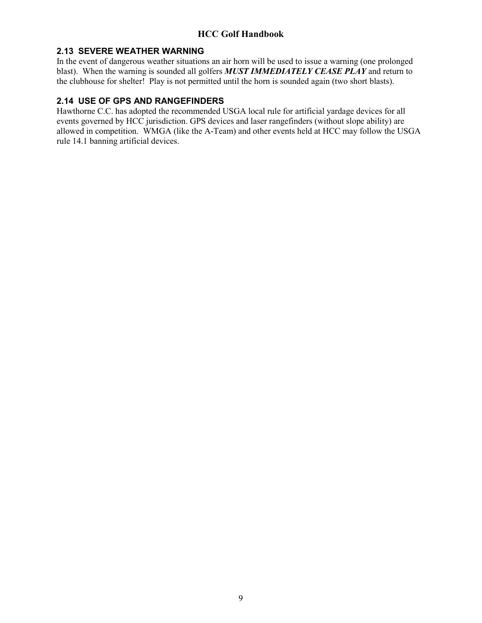# **2.13 SEVERE WEATHER WARNING**

In the event of dangerous weather situations an air horn will be used to issue a warning (one prolonged blast). When the warning is sounded all golfers *MUST IMMEDIATELY CEASE PLAY* and return to the clubhouse for shelter! Play is not permitted until the horn is sounded again (two short blasts).

# **2.14 USE OF GPS AND RANGEFINDERS**

Hawthorne C.C. has adopted the recommended USGA local rule for artificial yardage devices for all events governed by HCC jurisdiction. GPS devices and laser rangefinders (without slope ability) are allowed in competition. WMGA (like the A-Team) and other events held at HCC may follow the USGA rule 14.1 banning artificial devices.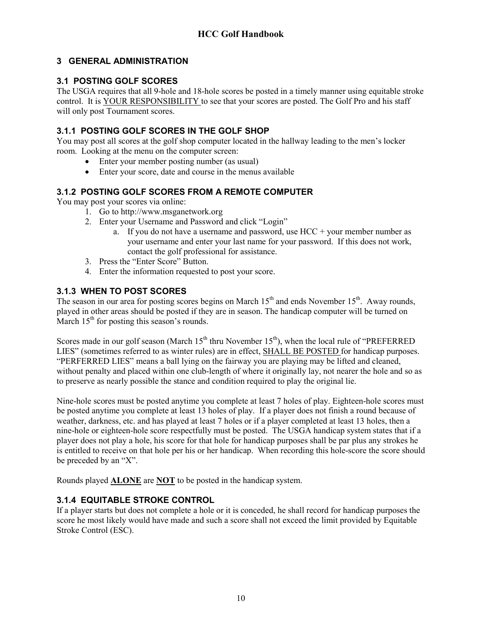# **3 GENERAL ADMINISTRATION**

# **3.1 POSTING GOLF SCORES**

The USGA requires that all 9-hole and 18-hole scores be posted in a timely manner using equitable stroke control. It is YOUR RESPONSIBILITY to see that your scores are posted. The Golf Pro and his staff will only post Tournament scores.

# **3.1.1 POSTING GOLF SCORES IN THE GOLF SHOP**

You may post all scores at the golf shop computer located in the hallway leading to the men's locker room. Looking at the menu on the computer screen:

- Enter your member posting number (as usual)
- Enter your score, date and course in the menus available

# **3.1.2 POSTING GOLF SCORES FROM A REMOTE COMPUTER**

You may post your scores via online:

- 1. Go to http://www.msganetwork.org
- 2. Enter your Username and Password and click "Login"
	- a. If you do not have a username and password, use  $HCC +$  your member number as your username and enter your last name for your password. If this does not work, contact the golf professional for assistance.
- 3. Press the "Enter Score" Button.
- 4. Enter the information requested to post your score.

# **3.1.3 WHEN TO POST SCORES**

The season in our area for posting scores begins on March 15<sup>th</sup> and ends November 15<sup>th</sup>. Away rounds, played in other areas should be posted if they are in season. The handicap computer will be turned on March  $15<sup>th</sup>$  for posting this season's rounds.

Scores made in our golf season (March  $15<sup>th</sup>$  thru November  $15<sup>th</sup>$ ), when the local rule of "PREFERRED LIES" (sometimes referred to as winter rules) are in effect, SHALL BE POSTED for handicap purposes. "PERFERRED LIES" means a ball lying on the fairway you are playing may be lifted and cleaned, without penalty and placed within one club-length of where it originally lay, not nearer the hole and so as to preserve as nearly possible the stance and condition required to play the original lie.

Nine-hole scores must be posted anytime you complete at least 7 holes of play. Eighteen-hole scores must be posted anytime you complete at least 13 holes of play. If a player does not finish a round because of weather, darkness, etc. and has played at least 7 holes or if a player completed at least 13 holes, then a nine-hole or eighteen-hole score respectfully must be posted. The USGA handicap system states that if a player does not play a hole, his score for that hole for handicap purposes shall be par plus any strokes he is entitled to receive on that hole per his or her handicap. When recording this hole-score the score should be preceded by an "X".

Rounds played **ALONE** are **NOT** to be posted in the handicap system.

# **3.1.4 EQUITABLE STROKE CONTROL**

If a player starts but does not complete a hole or it is conceded, he shall record for handicap purposes the score he most likely would have made and such a score shall not exceed the limit provided by Equitable Stroke Control (ESC).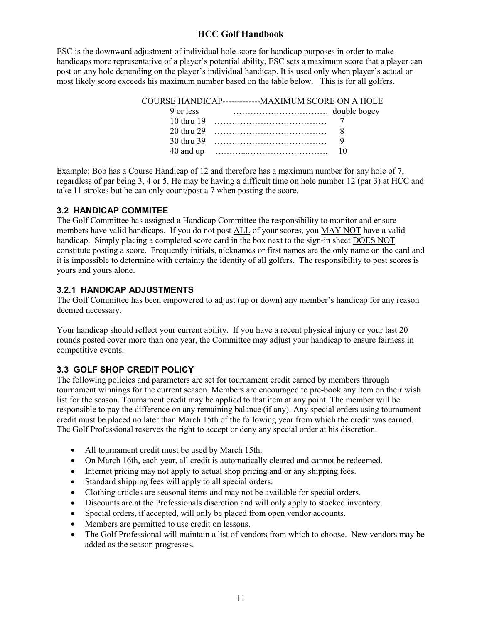ESC is the downward adjustment of individual hole score for handicap purposes in order to make handicaps more representative of a player's potential ability, ESC sets a maximum score that a player can post on any hole depending on the player's individual handicap. It is used only when player's actual or most likely score exceeds his maximum number based on the table below. This is for all golfers.

Example: Bob has a Course Handicap of 12 and therefore has a maximum number for any hole of 7, regardless of par being 3, 4 or 5. He may be having a difficult time on hole number 12 (par 3) at HCC and take 11 strokes but he can only count/post a 7 when posting the score.

# **3.2 HANDICAP COMMITEE**

The Golf Committee has assigned a Handicap Committee the responsibility to monitor and ensure members have valid handicaps. If you do not post ALL of your scores, you MAY NOT have a valid handicap. Simply placing a completed score card in the box next to the sign-in sheet DOES NOT constitute posting a score. Frequently initials, nicknames or first names are the only name on the card and it is impossible to determine with certainty the identity of all golfers. The responsibility to post scores is yours and yours alone.

#### **3.2.1 HANDICAP ADJUSTMENTS**

The Golf Committee has been empowered to adjust (up or down) any member's handicap for any reason deemed necessary.

Your handicap should reflect your current ability. If you have a recent physical injury or your last 20 rounds posted cover more than one year, the Committee may adjust your handicap to ensure fairness in competitive events.

# **3.3 GOLF SHOP CREDIT POLICY**

The following policies and parameters are set for tournament credit earned by members through tournament winnings for the current season. Members are encouraged to pre-book any item on their wish list for the season. Tournament credit may be applied to that item at any point. The member will be responsible to pay the difference on any remaining balance (if any). Any special orders using tournament credit must be placed no later than March 15th of the following year from which the credit was earned. The Golf Professional reserves the right to accept or deny any special order at his discretion.

- All tournament credit must be used by March 15th.
- On March 16th, each year, all credit is automatically cleared and cannot be redeemed.
- Internet pricing may not apply to actual shop pricing and or any shipping fees.
- Standard shipping fees will apply to all special orders.
- Clothing articles are seasonal items and may not be available for special orders.
- Discounts are at the Professionals discretion and will only apply to stocked inventory.
- Special orders, if accepted, will only be placed from open vendor accounts.
- Members are permitted to use credit on lessons.
- The Golf Professional will maintain a list of vendors from which to choose. New vendors may be added as the season progresses.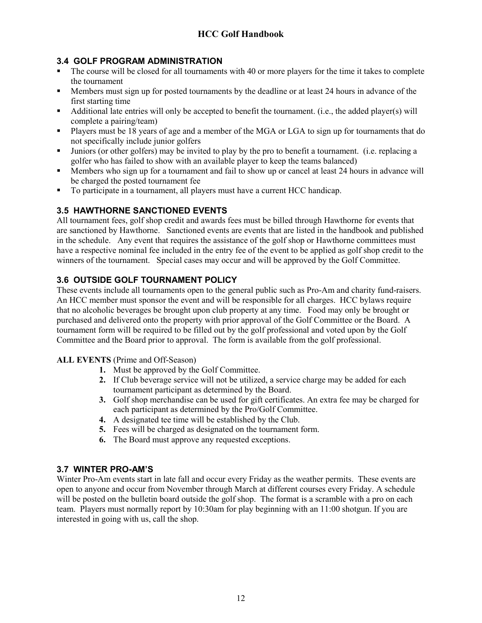# **3.4 GOLF PROGRAM ADMINISTRATION**

- The course will be closed for all tournaments with 40 or more players for the time it takes to complete the tournament
- Members must sign up for posted tournaments by the deadline or at least 24 hours in advance of the first starting time
- Additional late entries will only be accepted to benefit the tournament. (i.e., the added player(s) will complete a pairing/team)
- Players must be 18 years of age and a member of the MGA or LGA to sign up for tournaments that do not specifically include junior golfers
- Juniors (or other golfers) may be invited to play by the pro to benefit a tournament. (i.e. replacing a golfer who has failed to show with an available player to keep the teams balanced)
- Members who sign up for a tournament and fail to show up or cancel at least 24 hours in advance will be charged the posted tournament fee
- To participate in a tournament, all players must have a current HCC handicap.

# **3.5 HAWTHORNE SANCTIONED EVENTS**

All tournament fees, golf shop credit and awards fees must be billed through Hawthorne for events that are sanctioned by Hawthorne. Sanctioned events are events that are listed in the handbook and published in the schedule. Any event that requires the assistance of the golf shop or Hawthorne committees must have a respective nominal fee included in the entry fee of the event to be applied as golf shop credit to the winners of the tournament. Special cases may occur and will be approved by the Golf Committee.

# **3.6 OUTSIDE GOLF TOURNAMENT POLICY**

These events include all tournaments open to the general public such as Pro-Am and charity fund-raisers. An HCC member must sponsor the event and will be responsible for all charges. HCC bylaws require that no alcoholic beverages be brought upon club property at any time. Food may only be brought or purchased and delivered onto the property with prior approval of the Golf Committee or the Board. A tournament form will be required to be filled out by the golf professional and voted upon by the Golf Committee and the Board prior to approval. The form is available from the golf professional.

# **ALL EVENTS** (Prime and Off-Season)

- **1.** Must be approved by the Golf Committee.
- **2.** If Club beverage service will not be utilized, a service charge may be added for each tournament participant as determined by the Board.
- **3.** Golf shop merchandise can be used for gift certificates. An extra fee may be charged for each participant as determined by the Pro/Golf Committee.
- **4.** A designated tee time will be established by the Club.
- **5.** Fees will be charged as designated on the tournament form.
- **6.** The Board must approve any requested exceptions.

# **3.7 WINTER PRO-AM'S**

Winter Pro-Am events start in late fall and occur every Friday as the weather permits. These events are open to anyone and occur from November through March at different courses every Friday. A schedule will be posted on the bulletin board outside the golf shop. The format is a scramble with a pro on each team. Players must normally report by 10:30am for play beginning with an 11:00 shotgun. If you are interested in going with us, call the shop.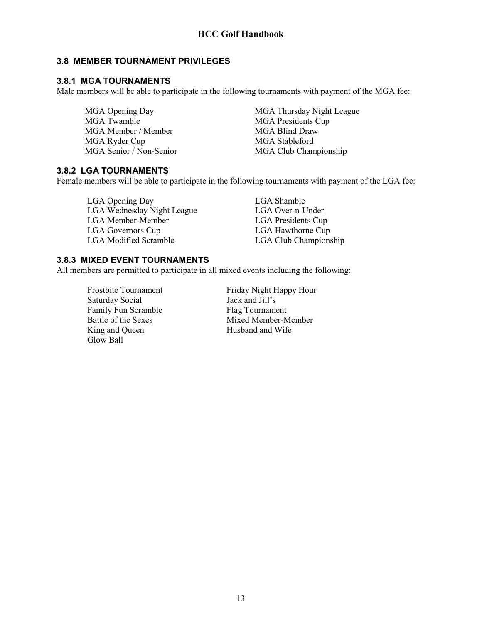# **3.8 MEMBER TOURNAMENT PRIVILEGES**

# **3.8.1 MGA TOURNAMENTS**

Male members will be able to participate in the following tournaments with payment of the MGA fee:

MGA Twamble MGA Presidents Cup MGA Member / Member member member member member member member member member member member member member member MGA Ryder Cup MGA Stableford

MGA Opening Day MGA Thursday Night League MGA Senior / Non-Senior MGA Club Championship

# **3.8.2 LGA TOURNAMENTS**

Female members will be able to participate in the following tournaments with payment of the LGA fee:

LGA Opening Day LGA Shamble LGA Wednesday Night League LGA Over-n-Under LGA Member-Member LGA Presidents Cup LGA Governors Cup LGA Hawthorne Cup LGA Modified Scramble LGA Club Championship

# **3.8.3 MIXED EVENT TOURNAMENTS**

All members are permitted to participate in all mixed events including the following:

Saturday Social Jack and Jill's<br>
Family Fun Scramble<br>
Flag Tournament Family Fun Scramble Glow Ball

Frostbite Tournament<br>
Saturday Social<br>
Saturday Social<br>
Saturday Social<br>
Saturday Social<br>
Saturday Social<br>
Saturday Social<br>
Saturday Social<br>
Saturday Social<br>
Saturday Social<br>
Saturday Social<br>
Saturday Social<br>
Saturday Soci Battle of the Sexes Mixed Member-Member<br>King and Queen Husband and Wife Husband and Wife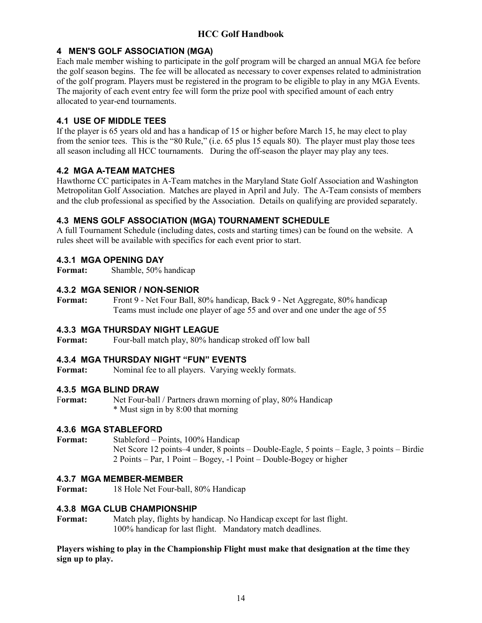# **4 MEN'S GOLF ASSOCIATION (MGA)**

Each male member wishing to participate in the golf program will be charged an annual MGA fee before the golf season begins. The fee will be allocated as necessary to cover expenses related to administration of the golf program. Players must be registered in the program to be eligible to play in any MGA Events. The majority of each event entry fee will form the prize pool with specified amount of each entry allocated to year-end tournaments.

# **4.1 USE OF MIDDLE TEES**

If the player is 65 years old and has a handicap of 15 or higher before March 15, he may elect to play from the senior tees. This is the "80 Rule," (i.e. 65 plus 15 equals 80). The player must play those tees all season including all HCC tournaments. During the off-season the player may play any tees.

# **4.2 MGA A-TEAM MATCHES**

Hawthorne CC participates in A-Team matches in the Maryland State Golf Association and Washington Metropolitan Golf Association. Matches are played in April and July. The A-Team consists of members and the club professional as specified by the Association. Details on qualifying are provided separately.

# **4.3 MENS GOLF ASSOCIATION (MGA) TOURNAMENT SCHEDULE**

A full Tournament Schedule (including dates, costs and starting times) can be found on the website. A rules sheet will be available with specifics for each event prior to start.

# **4.3.1 MGA OPENING DAY**

**Format:** Shamble, 50% handicap

# **4.3.2 MGA SENIOR / NON-SENIOR**

**Format:** Front 9 - Net Four Ball, 80% handicap, Back 9 - Net Aggregate, 80% handicap Teams must include one player of age 55 and over and one under the age of 55

# **4.3.3 MGA THURSDAY NIGHT LEAGUE**

**Format:** Four-ball match play, 80% handicap stroked off low ball

# **4.3.4 MGA THURSDAY NIGHT "FUN" EVENTS**

Format: Nominal fee to all players. Varying weekly formats.

# **4.3.5 MGA BLIND DRAW**

F**ormat:** Net Four-ball / Partners drawn morning of play, 80% Handicap \* Must sign in by 8:00 that morning

# **4.3.6 MGA STABLEFORD**

**Format:** Stableford – Points, 100% Handicap Net Score 12 points–4 under, 8 points – Double-Eagle, 5 points – Eagle, 3 points – Birdie 2 Points – Par, 1 Point – Bogey, -1 Point – Double-Bogey or higher

#### **4.3.7 MGA MEMBER-MEMBER**

**Format:** 18 Hole Net Four-ball, 80% Handicap

# **4.3.8 MGA CLUB CHAMPIONSHIP**

**Format:** Match play, flights by handicap. No Handicap except for last flight. 100% handicap for last flight. Mandatory match deadlines.

**Players wishing to play in the Championship Flight must make that designation at the time they sign up to play.**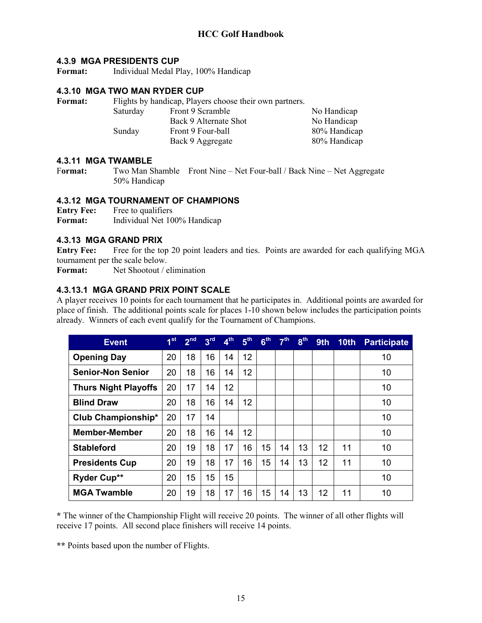#### **4.3.9 MGA PRESIDENTS CUP**

**Format:** Individual Medal Play, 100% Handicap

#### **4.3.10 MGA TWO MAN RYDER CUP**

Format: Flights by handicap, Players choose their own partners. Saturday Front 9 Scramble No Handicap Back 9 Alternate Shot No Handicap Sunday Front 9 Four-ball 80% Handicap Back 9 Aggregate 80% Handicap

#### **4.3.11 MGA TWAMBLE**

F**ormat:** Two Man Shamble Front Nine – Net Four-ball / Back Nine – Net Aggregate 50% Handicap

#### **4.3.12 MGA TOURNAMENT OF CHAMPIONS**

**Entry Fee:** Free to qualifiers<br>**Format:** Individual Net 10

**Format:** Individual Net 100% Handicap

#### **4.3.13 MGA GRAND PRIX**

**Entry Fee:** Free for the top 20 point leaders and ties. Points are awarded for each qualifying MGA tournament per the scale below.

**Format:** Net Shootout / elimination

# **4.3.13.1 MGA GRAND PRIX POINT SCALE**

A player receives 10 points for each tournament that he participates in. Additional points are awarded for place of finish. The additional points scale for places 1-10 shown below includes the participation points already. Winners of each event qualify for the Tournament of Champions.

| <b>Event</b>                | 1 <sup>st</sup> | 2 <sup>nd</sup> | 3 <sup>rd</sup> | $4^{\text{th}}$ | 5 <sup>th</sup> | 6 <sup>th</sup> | 7 <sup>th</sup> | 8 <sup>th</sup> | 9th |    | 10th Participate |
|-----------------------------|-----------------|-----------------|-----------------|-----------------|-----------------|-----------------|-----------------|-----------------|-----|----|------------------|
| <b>Opening Day</b>          | 20              | 18              | 16              | 14              | 12              |                 |                 |                 |     |    | 10               |
| <b>Senior-Non Senior</b>    | 20              | 18              | 16              | 14              | 12              |                 |                 |                 |     |    | 10               |
| <b>Thurs Night Playoffs</b> | 20              | 17              | 14              | 12              |                 |                 |                 |                 |     |    | 10               |
| <b>Blind Draw</b>           | 20              | 18              | 16              | 14              | 12              |                 |                 |                 |     |    | 10               |
| Club Championship*          | 20              | 17              | 14              |                 |                 |                 |                 |                 |     |    | 10               |
| <b>Member-Member</b>        | 20              | 18              | 16              | 14              | 12              |                 |                 |                 |     |    | 10               |
| <b>Stableford</b>           | 20              | 19              | 18              | 17              | 16              | 15              | 14              | 13              | 12  | 11 | 10               |
| <b>Presidents Cup</b>       | 20              | 19              | 18              | 17              | 16              | 15              | 14              | 13              | 12  | 11 | 10               |
| <b>Ryder Cup**</b>          | 20              | 15              | 15              | 15              |                 |                 |                 |                 |     |    | 10               |
| <b>MGA Twamble</b>          | 20              | 19              | 18              | 17              | 16              | 15              | 14              | 13              | 12  | 11 | 10               |

**\*** The winner of the Championship Flight will receive 20 points. The winner of all other flights will receive 17 points. All second place finishers will receive 14 points.

**\*\*** Points based upon the number of Flights.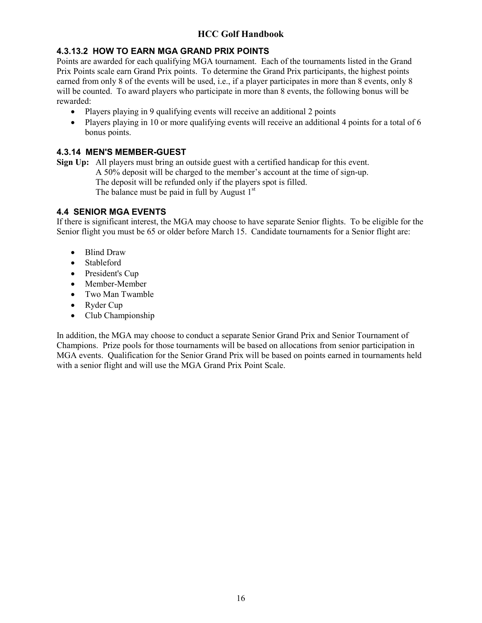# **4.3.13.2 HOW TO EARN MGA GRAND PRIX POINTS**

Points are awarded for each qualifying MGA tournament. Each of the tournaments listed in the Grand Prix Points scale earn Grand Prix points. To determine the Grand Prix participants, the highest points earned from only 8 of the events will be used, i.e., if a player participates in more than 8 events, only 8 will be counted. To award players who participate in more than 8 events, the following bonus will be rewarded:

- Players playing in 9 qualifying events will receive an additional 2 points
- Players playing in 10 or more qualifying events will receive an additional 4 points for a total of 6 bonus points.

# **4.3.14 MEN'S MEMBER-GUEST**

**Sign Up:** All players must bring an outside guest with a certified handicap for this event. A 50% deposit will be charged to the member's account at the time of sign-up. The deposit will be refunded only if the players spot is filled. The balance must be paid in full by August  $1<sup>st</sup>$ 

# **4.4 SENIOR MGA EVENTS**

If there is significant interest, the MGA may choose to have separate Senior flights. To be eligible for the Senior flight you must be 65 or older before March 15. Candidate tournaments for a Senior flight are:

- Blind Draw
- Stableford
- President's Cup
- Member-Member
- Two Man Twamble
- Ryder Cup
- Club Championship

In addition, the MGA may choose to conduct a separate Senior Grand Prix and Senior Tournament of Champions. Prize pools for those tournaments will be based on allocations from senior participation in MGA events. Qualification for the Senior Grand Prix will be based on points earned in tournaments held with a senior flight and will use the MGA Grand Prix Point Scale.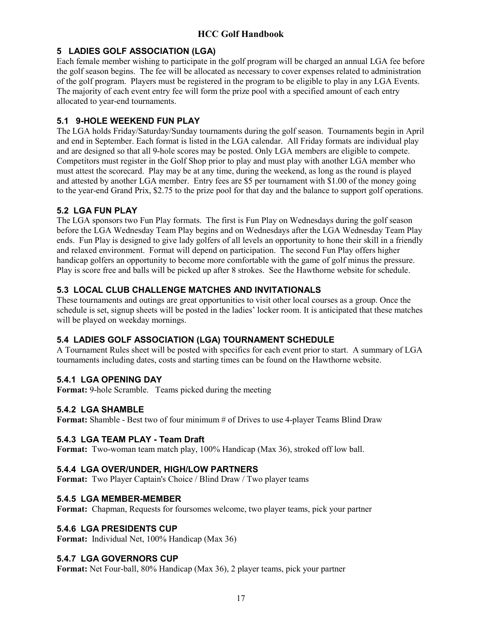# **5 LADIES GOLF ASSOCIATION (LGA)**

Each female member wishing to participate in the golf program will be charged an annual LGA fee before the golf season begins. The fee will be allocated as necessary to cover expenses related to administration of the golf program. Players must be registered in the program to be eligible to play in any LGA Events. The majority of each event entry fee will form the prize pool with a specified amount of each entry allocated to year-end tournaments.

# **5.1 9-HOLE WEEKEND FUN PLAY**

The LGA holds Friday/Saturday/Sunday tournaments during the golf season. Tournaments begin in April and end in September. Each format is listed in the LGA calendar. All Friday formats are individual play and are designed so that all 9-hole scores may be posted. Only LGA members are eligible to compete. Competitors must register in the Golf Shop prior to play and must play with another LGA member who must attest the scorecard. Play may be at any time, during the weekend, as long as the round is played and attested by another LGA member. Entry fees are \$5 per tournament with \$1.00 of the money going to the year-end Grand Prix, \$2.75 to the prize pool for that day and the balance to support golf operations.

# **5.2 LGA FUN PLAY**

The LGA sponsors two Fun Play formats. The first is Fun Play on Wednesdays during the golf season before the LGA Wednesday Team Play begins and on Wednesdays after the LGA Wednesday Team Play ends. Fun Play is designed to give lady golfers of all levels an opportunity to hone their skill in a friendly and relaxed environment. Format will depend on participation. The second Fun Play offers higher handicap golfers an opportunity to become more comfortable with the game of golf minus the pressure. Play is score free and balls will be picked up after 8 strokes. See the Hawthorne website for schedule.

# **5.3 LOCAL CLUB CHALLENGE MATCHES AND INVITATIONALS**

These tournaments and outings are great opportunities to visit other local courses as a group. Once the schedule is set, signup sheets will be posted in the ladies' locker room. It is anticipated that these matches will be played on weekday mornings.

# **5.4 LADIES GOLF ASSOCIATION (LGA) TOURNAMENT SCHEDULE**

A Tournament Rules sheet will be posted with specifics for each event prior to start. A summary of LGA tournaments including dates, costs and starting times can be found on the Hawthorne website.

# **5.4.1 LGA OPENING DAY**

**Format:** 9-hole Scramble. Teams picked during the meeting

# **5.4.2 LGA SHAMBLE**

**Format:** Shamble - Best two of four minimum # of Drives to use 4-player Teams Blind Draw

# **5.4.3 LGA TEAM PLAY - Team Draft**

**Format:** Two-woman team match play, 100% Handicap (Max 36), stroked off low ball.

# **5.4.4 LGA OVER/UNDER, HIGH/LOW PARTNERS**

**Format:** Two Player Captain's Choice / Blind Draw / Two player teams

# **5.4.5 LGA MEMBER-MEMBER**

**Format:** Chapman, Requests for foursomes welcome, two player teams, pick your partner

# **5.4.6 LGA PRESIDENTS CUP**

**Format:** Individual Net, 100% Handicap (Max 36)

# **5.4.7 LGA GOVERNORS CUP**

**Format:** Net Four-ball, 80% Handicap (Max 36), 2 player teams, pick your partner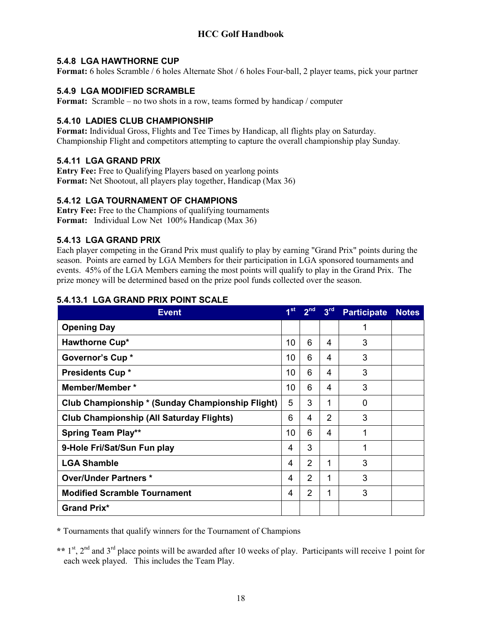# **5.4.8 LGA HAWTHORNE CUP**

**Format:** 6 holes Scramble / 6 holes Alternate Shot / 6 holes Four-ball, 2 player teams, pick your partner

# **5.4.9 LGA MODIFIED SCRAMBLE**

**Format:** Scramble – no two shots in a row, teams formed by handicap / computer

# **5.4.10 LADIES CLUB CHAMPIONSHIP**

**Format:** Individual Gross, Flights and Tee Times by Handicap, all flights play on Saturday. Championship Flight and competitors attempting to capture the overall championship play Sunday*.*

# **5.4.11 LGA GRAND PRIX**

**Entry Fee:** Free to Qualifying Players based on yearlong points **Format:** Net Shootout, all players play together, Handicap (Max 36)

# **5.4.12 LGA TOURNAMENT OF CHAMPIONS**

**Entry Fee:** Free to the Champions of qualifying tournaments **Format:** Individual Low Net 100% Handicap (Max 36)

# **5.4.13 LGA GRAND PRIX**

Each player competing in the Grand Prix must qualify to play by earning "Grand Prix" points during the season. Points are earned by LGA Members for their participation in LGA sponsored tournaments and events. 45% of the LGA Members earning the most points will qualify to play in the Grand Prix. The prize money will be determined based on the prize pool funds collected over the season.

| <b>Event</b>                                            | 1 <sup>st</sup> | 2 <sup>nd</sup> | 3 <sup>rd</sup> | <b>Participate</b> | <b>Notes</b> |
|---------------------------------------------------------|-----------------|-----------------|-----------------|--------------------|--------------|
| <b>Opening Day</b>                                      |                 |                 |                 | 1                  |              |
| Hawthorne Cup*                                          | 10              | 6               | 4               | 3                  |              |
| Governor's Cup *                                        | 10              | 6               | 4               | 3                  |              |
| <b>Presidents Cup *</b>                                 | 10              | 6               | 4               | 3                  |              |
| <b>Member/Member *</b>                                  | 10              | 6               | 4               | 3                  |              |
| <b>Club Championship * (Sunday Championship Flight)</b> | 5               | 3               | 1               | $\Omega$           |              |
| <b>Club Championship (All Saturday Flights)</b>         | 6               | 4               | $\overline{2}$  | 3                  |              |
| <b>Spring Team Play**</b>                               | 10              | 6               | 4               | 1                  |              |
| 9-Hole Fri/Sat/Sun Fun play                             | 4               | 3               |                 | 1                  |              |
| <b>LGA Shamble</b>                                      | 4               | $\overline{2}$  | 1               | 3                  |              |
| <b>Over/Under Partners *</b>                            | 4               | $\overline{2}$  |                 | 3                  |              |
| <b>Modified Scramble Tournament</b>                     | 4               | 2               | 1               | 3                  |              |
| <b>Grand Prix*</b>                                      |                 |                 |                 |                    |              |

# **5.4.13.1 LGA GRAND PRIX POINT SCALE**

**\*** Tournaments that qualify winners for the Tournament of Champions

\*\* 1<sup>st</sup>, 2<sup>nd</sup> and 3<sup>rd</sup> place points will be awarded after 10 weeks of play. Participants will receive 1 point for each week played. This includes the Team Play.